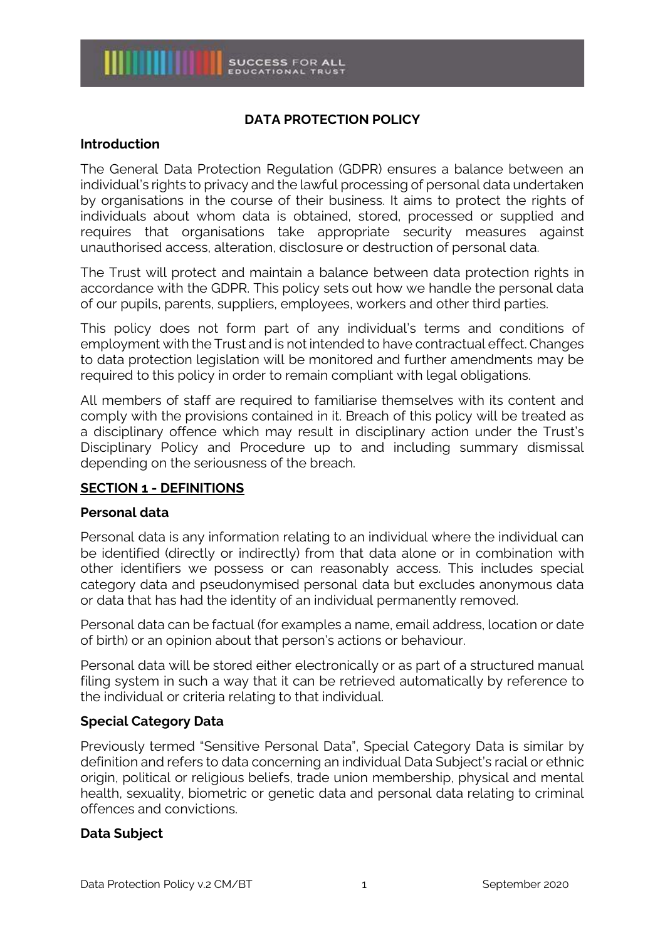

## **DATA PROTECTION POLICY**

### **Introduction**

The General Data Protection Regulation (GDPR) ensures a balance between an individual's rights to privacy and the lawful processing of personal data undertaken by organisations in the course of their business. It aims to protect the rights of individuals about whom data is obtained, stored, processed or supplied and requires that organisations take appropriate security measures against unauthorised access, alteration, disclosure or destruction of personal data.

The Trust will protect and maintain a balance between data protection rights in accordance with the GDPR. This policy sets out how we handle the personal data of our pupils, parents, suppliers, employees, workers and other third parties.

This policy does not form part of any individual's terms and conditions of employment with the Trust and is not intended to have contractual effect. Changes to data protection legislation will be monitored and further amendments may be required to this policy in order to remain compliant with legal obligations.

All members of staff are required to familiarise themselves with its content and comply with the provisions contained in it. Breach of this policy will be treated as a disciplinary offence which may result in disciplinary action under the Trust's Disciplinary Policy and Procedure up to and including summary dismissal depending on the seriousness of the breach.

## **SECTION 1 - DEFINITIONS**

### **Personal data**

Personal data is any information relating to an individual where the individual can be identified (directly or indirectly) from that data alone or in combination with other identifiers we possess or can reasonably access. This includes special category data and pseudonymised personal data but excludes anonymous data or data that has had the identity of an individual permanently removed.

Personal data can be factual (for examples a name, email address, location or date of birth) or an opinion about that person's actions or behaviour.

Personal data will be stored either electronically or as part of a structured manual filing system in such a way that it can be retrieved automatically by reference to the individual or criteria relating to that individual.

### **Special Category Data**

Previously termed "Sensitive Personal Data", Special Category Data is similar by definition and refers to data concerning an individual Data Subject's racial or ethnic origin, political or religious beliefs, trade union membership, physical and mental health, sexuality, biometric or genetic data and personal data relating to criminal offences and convictions.

### **Data Subject**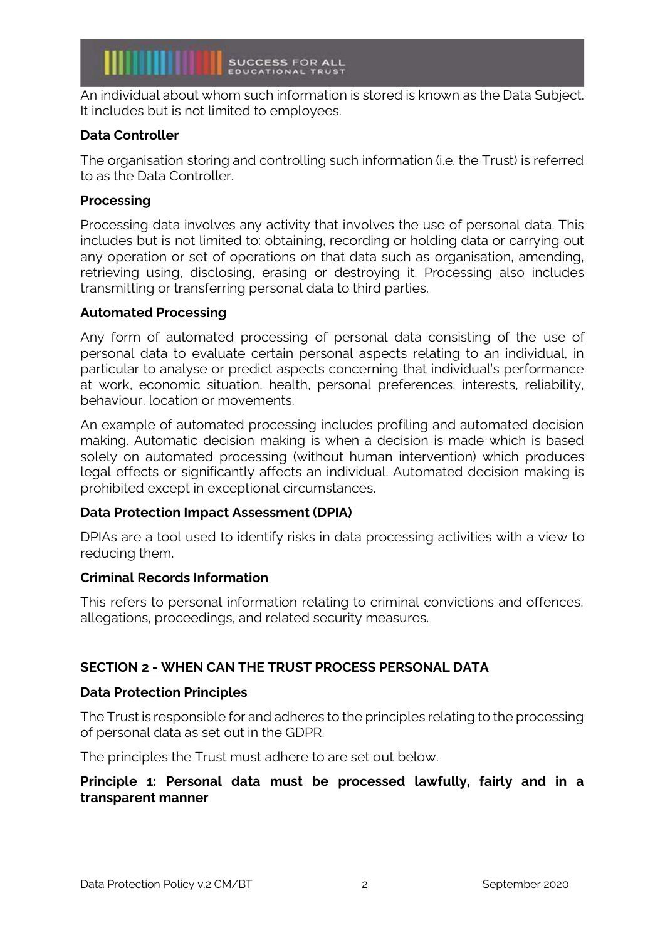

An individual about whom such information is stored is known as the Data Subject. It includes but is not limited to employees.

## **Data Controller**

The organisation storing and controlling such information (i.e. the Trust) is referred to as the Data Controller.

### **Processing**

Processing data involves any activity that involves the use of personal data. This includes but is not limited to: obtaining, recording or holding data or carrying out any operation or set of operations on that data such as organisation, amending, retrieving using, disclosing, erasing or destroying it. Processing also includes transmitting or transferring personal data to third parties.

### **Automated Processing**

Any form of automated processing of personal data consisting of the use of personal data to evaluate certain personal aspects relating to an individual, in particular to analyse or predict aspects concerning that individual's performance at work, economic situation, health, personal preferences, interests, reliability, behaviour, location or movements.

An example of automated processing includes profiling and automated decision making. Automatic decision making is when a decision is made which is based solely on automated processing (without human intervention) which produces legal effects or significantly affects an individual. Automated decision making is prohibited except in exceptional circumstances.

## **Data Protection Impact Assessment (DPIA)**

DPIAs are a tool used to identify risks in data processing activities with a view to reducing them.

### **Criminal Records Information**

This refers to personal information relating to criminal convictions and offences, allegations, proceedings, and related security measures.

## **SECTION 2 - WHEN CAN THE TRUST PROCESS PERSONAL DATA**

### **Data Protection Principles**

The Trust is responsible for and adheres to the principles relating to the processing of personal data as set out in the GDPR.

The principles the Trust must adhere to are set out below.

### **Principle 1: Personal data must be processed lawfully, fairly and in a transparent manner**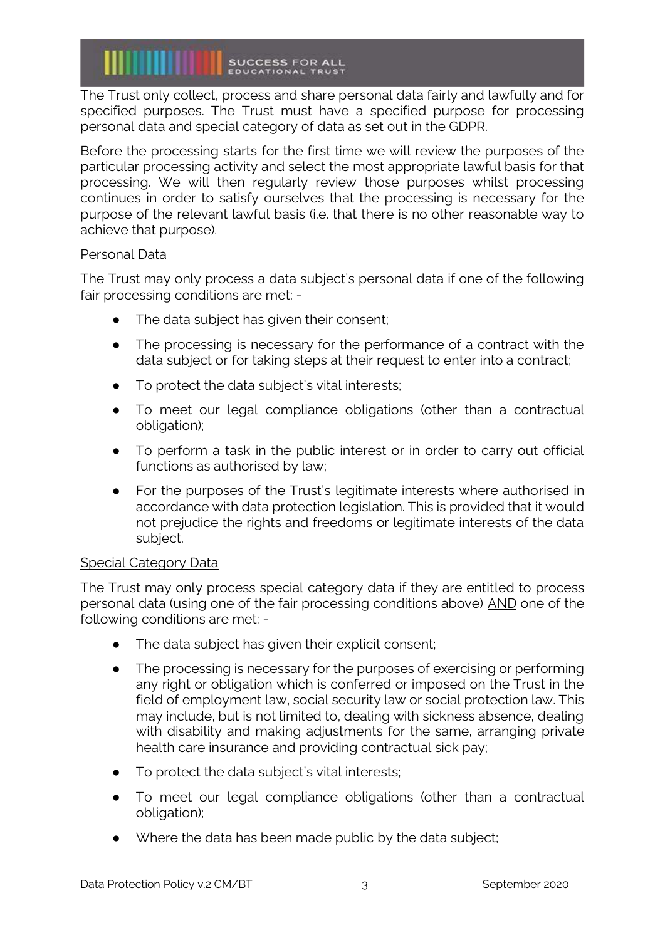The Trust only collect, process and share personal data fairly and lawfully and for specified purposes. The Trust must have a specified purpose for processing personal data and special category of data as set out in the GDPR.

Before the processing starts for the first time we will review the purposes of the particular processing activity and select the most appropriate lawful basis for that processing. We will then regularly review those purposes whilst processing continues in order to satisfy ourselves that the processing is necessary for the purpose of the relevant lawful basis (i.e. that there is no other reasonable way to achieve that purpose).

### Personal Data

The Trust may only process a data subject's personal data if one of the following fair processing conditions are met: -

- The data subject has given their consent;
- The processing is necessary for the performance of a contract with the data subject or for taking steps at their request to enter into a contract;
- To protect the data subject's vital interests;
- To meet our legal compliance obligations (other than a contractual obligation);
- To perform a task in the public interest or in order to carry out official functions as authorised by law;
- For the purposes of the Trust's legitimate interests where authorised in accordance with data protection legislation. This is provided that it would not prejudice the rights and freedoms or legitimate interests of the data subject.

## Special Category Data

The Trust may only process special category data if they are entitled to process personal data (using one of the fair processing conditions above) AND one of the following conditions are met: -

- The data subject has given their explicit consent;
- The processing is necessary for the purposes of exercising or performing any right or obligation which is conferred or imposed on the Trust in the field of employment law, social security law or social protection law. This may include, but is not limited to, dealing with sickness absence, dealing with disability and making adjustments for the same, arranging private health care insurance and providing contractual sick pay;
- To protect the data subject's vital interests;
- To meet our legal compliance obligations (other than a contractual obligation);
- Where the data has been made public by the data subject;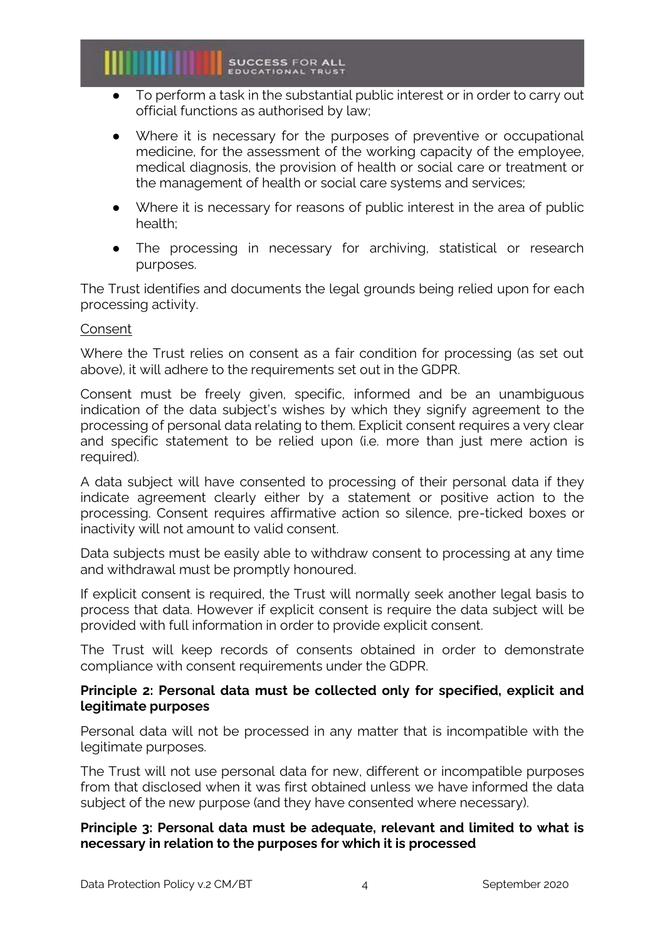- To perform a task in the substantial public interest or in order to carry out official functions as authorised by law;
- Where it is necessary for the purposes of preventive or occupational medicine, for the assessment of the working capacity of the employee, medical diagnosis, the provision of health or social care or treatment or the management of health or social care systems and services;
- Where it is necessary for reasons of public interest in the area of public health;
- The processing in necessary for archiving, statistical or research purposes.

The Trust identifies and documents the legal grounds being relied upon for each processing activity.

### Consent

Where the Trust relies on consent as a fair condition for processing (as set out above), it will adhere to the requirements set out in the GDPR.

Consent must be freely given, specific, informed and be an unambiguous indication of the data subject's wishes by which they signify agreement to the processing of personal data relating to them. Explicit consent requires a very clear and specific statement to be relied upon (i.e. more than just mere action is required).

A data subject will have consented to processing of their personal data if they indicate agreement clearly either by a statement or positive action to the processing. Consent requires affirmative action so silence, pre-ticked boxes or inactivity will not amount to valid consent.

Data subjects must be easily able to withdraw consent to processing at any time and withdrawal must be promptly honoured.

If explicit consent is required, the Trust will normally seek another legal basis to process that data. However if explicit consent is require the data subject will be provided with full information in order to provide explicit consent.

The Trust will keep records of consents obtained in order to demonstrate compliance with consent requirements under the GDPR.

### **Principle 2: Personal data must be collected only for specified, explicit and legitimate purposes**

Personal data will not be processed in any matter that is incompatible with the legitimate purposes.

The Trust will not use personal data for new, different or incompatible purposes from that disclosed when it was first obtained unless we have informed the data subject of the new purpose (and they have consented where necessary).

### **Principle 3: Personal data must be adequate, relevant and limited to what is necessary in relation to the purposes for which it is processed**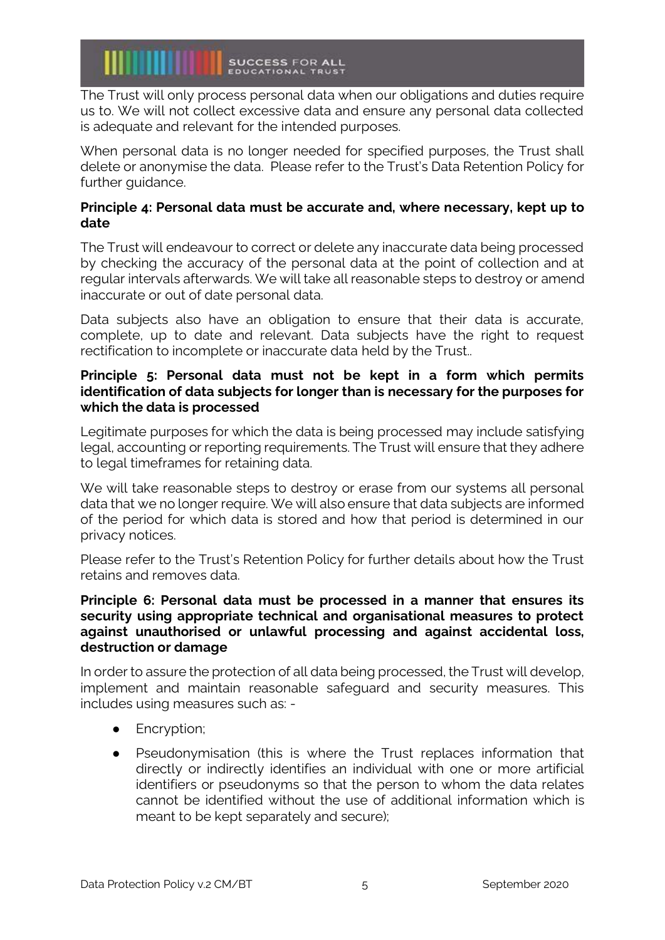

The Trust will only process personal data when our obligations and duties require us to. We will not collect excessive data and ensure any personal data collected is adequate and relevant for the intended purposes.

When personal data is no longer needed for specified purposes, the Trust shall delete or anonymise the data. Please refer to the Trust's Data Retention Policy for further quidance.

### **Principle 4: Personal data must be accurate and, where necessary, kept up to date**

The Trust will endeavour to correct or delete any inaccurate data being processed by checking the accuracy of the personal data at the point of collection and at regular intervals afterwards. We will take all reasonable steps to destroy or amend inaccurate or out of date personal data.

Data subjects also have an obligation to ensure that their data is accurate, complete, up to date and relevant. Data subjects have the right to request rectification to incomplete or inaccurate data held by the Trust..

### **Principle 5: Personal data must not be kept in a form which permits identification of data subjects for longer than is necessary for the purposes for which the data is processed**

Legitimate purposes for which the data is being processed may include satisfying legal, accounting or reporting requirements. The Trust will ensure that they adhere to legal timeframes for retaining data.

We will take reasonable steps to destroy or erase from our systems all personal data that we no longer require. We will also ensure that data subjects are informed of the period for which data is stored and how that period is determined in our privacy notices.

Please refer to the Trust's Retention Policy for further details about how the Trust retains and removes data.

### **Principle 6: Personal data must be processed in a manner that ensures its security using appropriate technical and organisational measures to protect against unauthorised or unlawful processing and against accidental loss, destruction or damage**

In order to assure the protection of all data being processed, the Trust will develop, implement and maintain reasonable safeguard and security measures. This includes using measures such as: -

- **•** Encryption;
- Pseudonymisation (this is where the Trust replaces information that directly or indirectly identifies an individual with one or more artificial identifiers or pseudonyms so that the person to whom the data relates cannot be identified without the use of additional information which is meant to be kept separately and secure);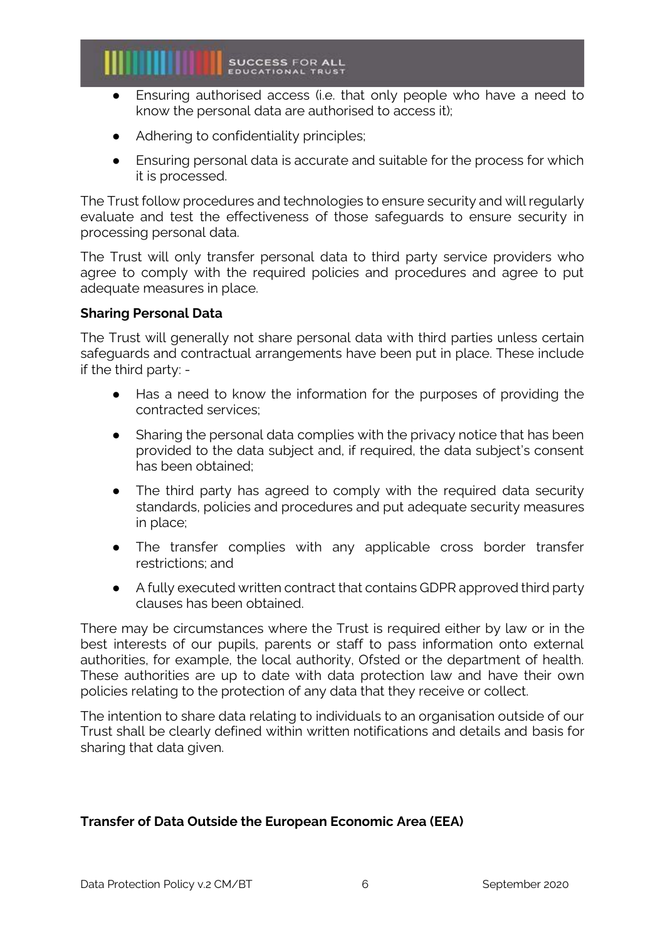- Ensuring authorised access (i.e. that only people who have a need to know the personal data are authorised to access it);
- Adhering to confidentiality principles;
- Ensuring personal data is accurate and suitable for the process for which it is processed.

The Trust follow procedures and technologies to ensure security and will regularly evaluate and test the effectiveness of those safeguards to ensure security in processing personal data.

The Trust will only transfer personal data to third party service providers who agree to comply with the required policies and procedures and agree to put adequate measures in place.

### **Sharing Personal Data**

The Trust will generally not share personal data with third parties unless certain safeguards and contractual arrangements have been put in place. These include if the third party: -

- Has a need to know the information for the purposes of providing the contracted services;
- Sharing the personal data complies with the privacy notice that has been provided to the data subject and, if required, the data subject's consent has been obtained;
- The third party has agreed to comply with the required data security standards, policies and procedures and put adequate security measures in place;
- The transfer complies with any applicable cross border transfer restrictions; and
- A fully executed written contract that contains GDPR approved third party clauses has been obtained.

There may be circumstances where the Trust is required either by law or in the best interests of our pupils, parents or staff to pass information onto external authorities, for example, the local authority, Ofsted or the department of health. These authorities are up to date with data protection law and have their own policies relating to the protection of any data that they receive or collect.

The intention to share data relating to individuals to an organisation outside of our Trust shall be clearly defined within written notifications and details and basis for sharing that data given.

## **Transfer of Data Outside the European Economic Area (EEA)**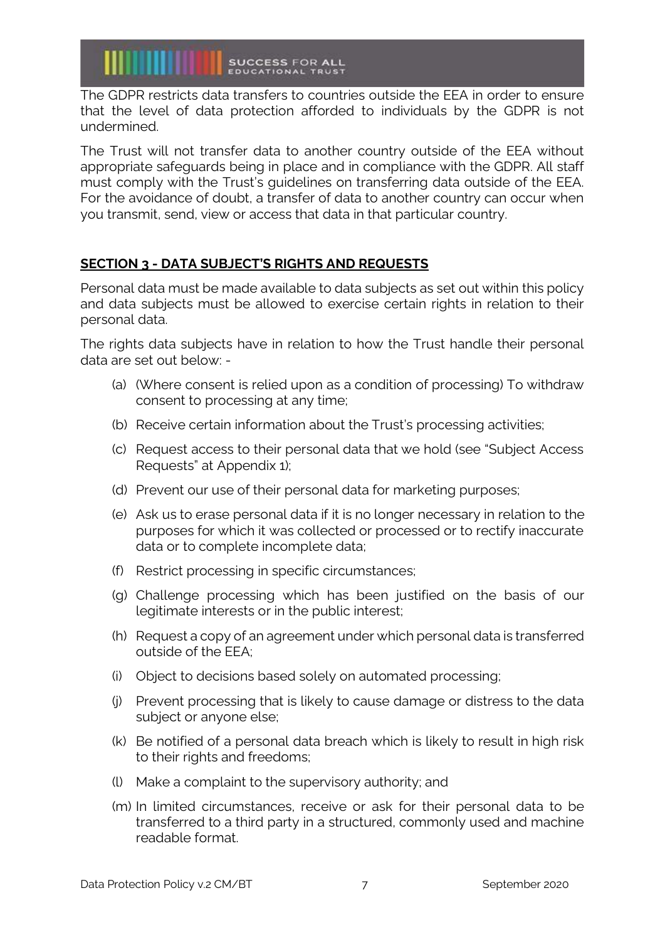The GDPR restricts data transfers to countries outside the EEA in order to ensure that the level of data protection afforded to individuals by the GDPR is not undermined.

The Trust will not transfer data to another country outside of the EEA without appropriate safeguards being in place and in compliance with the GDPR. All staff must comply with the Trust's guidelines on transferring data outside of the EEA. For the avoidance of doubt, a transfer of data to another country can occur when you transmit, send, view or access that data in that particular country.

# **SECTION 3 - DATA SUBJECT'S RIGHTS AND REQUESTS**

Personal data must be made available to data subjects as set out within this policy and data subjects must be allowed to exercise certain rights in relation to their personal data.

The rights data subjects have in relation to how the Trust handle their personal data are set out below: -

- (a) (Where consent is relied upon as a condition of processing) To withdraw consent to processing at any time;
- (b) Receive certain information about the Trust's processing activities;
- (c) Request access to their personal data that we hold (see "Subject Access Requests" at Appendix 1);
- (d) Prevent our use of their personal data for marketing purposes;
- (e) Ask us to erase personal data if it is no longer necessary in relation to the purposes for which it was collected or processed or to rectify inaccurate data or to complete incomplete data;
- (f) Restrict processing in specific circumstances;
- (g) Challenge processing which has been justified on the basis of our legitimate interests or in the public interest;
- (h) Request a copy of an agreement under which personal data is transferred outside of the EEA;
- (i) Object to decisions based solely on automated processing;
- (j) Prevent processing that is likely to cause damage or distress to the data subject or anyone else;
- (k) Be notified of a personal data breach which is likely to result in high risk to their rights and freedoms:
- (l) Make a complaint to the supervisory authority; and
- (m) In limited circumstances, receive or ask for their personal data to be transferred to a third party in a structured, commonly used and machine readable format.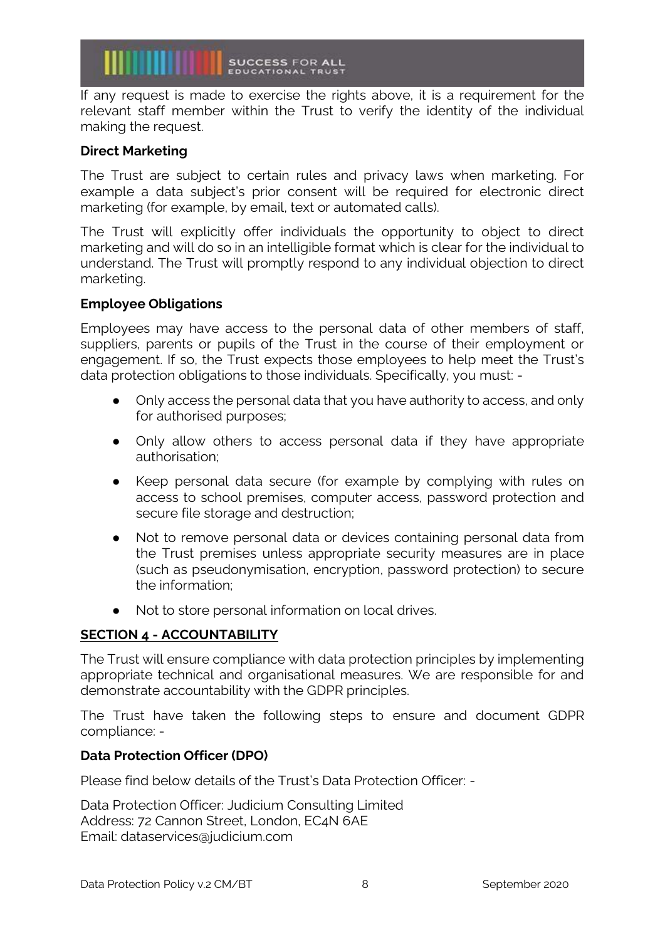

If any request is made to exercise the rights above, it is a requirement for the relevant staff member within the Trust to verify the identity of the individual making the request.

### **Direct Marketing**

The Trust are subject to certain rules and privacy laws when marketing. For example a data subject's prior consent will be required for electronic direct marketing (for example, by email, text or automated calls).

The Trust will explicitly offer individuals the opportunity to object to direct marketing and will do so in an intelligible format which is clear for the individual to understand. The Trust will promptly respond to any individual objection to direct marketing.

### **Employee Obligations**

Employees may have access to the personal data of other members of staff, suppliers, parents or pupils of the Trust in the course of their employment or engagement. If so, the Trust expects those employees to help meet the Trust's data protection obligations to those individuals. Specifically, you must: -

- Only access the personal data that you have authority to access, and only for authorised purposes;
- Only allow others to access personal data if they have appropriate authorisation;
- Keep personal data secure (for example by complying with rules on access to school premises, computer access, password protection and secure file storage and destruction;
- Not to remove personal data or devices containing personal data from the Trust premises unless appropriate security measures are in place (such as pseudonymisation, encryption, password protection) to secure the information;
- Not to store personal information on local drives.

## **SECTION 4 - ACCOUNTABILITY**

The Trust will ensure compliance with data protection principles by implementing appropriate technical and organisational measures. We are responsible for and demonstrate accountability with the GDPR principles.

The Trust have taken the following steps to ensure and document GDPR compliance: -

### **Data Protection Officer (DPO)**

Please find below details of the Trust's Data Protection Officer: -

Data Protection Officer: Judicium Consulting Limited Address: 72 Cannon Street, London, EC4N 6AE Email: [dataservices@judicium.com](mailto:dataservices@judicium.com)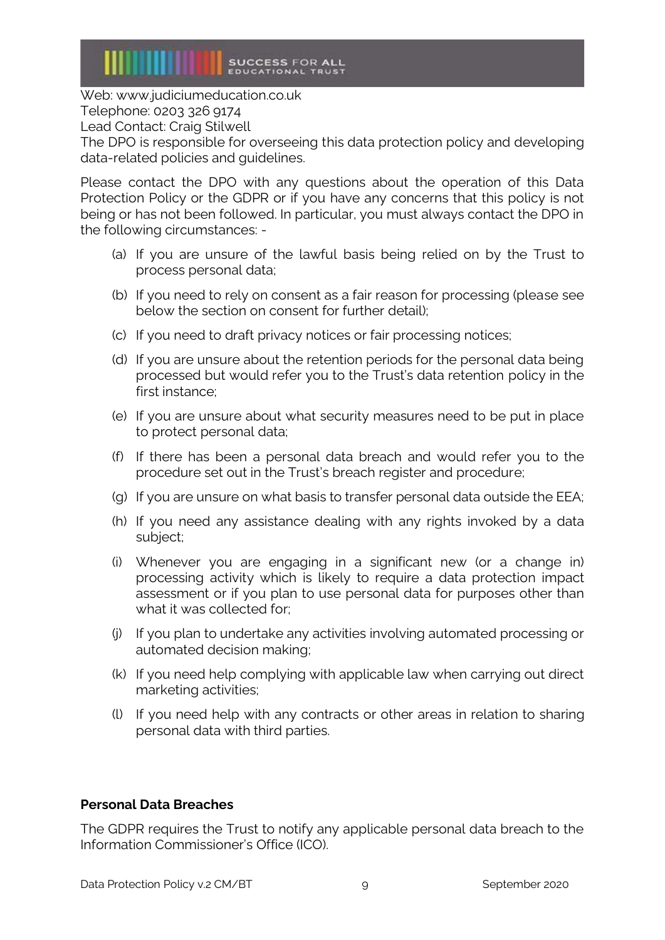

Web: www.judiciumeducation.co.uk

Telephone: 0203 326 9174 Lead Contact: Craig Stilwell

The DPO is responsible for overseeing this data protection policy and developing data-related policies and guidelines.

Please contact the DPO with any questions about the operation of this Data Protection Policy or the GDPR or if you have any concerns that this policy is not being or has not been followed. In particular, you must always contact the DPO in the following circumstances: -

- (a) If you are unsure of the lawful basis being relied on by the Trust to process personal data;
- (b) If you need to rely on consent as a fair reason for processing (please see below the section on consent for further detail);
- (c) If you need to draft privacy notices or fair processing notices;
- (d) If you are unsure about the retention periods for the personal data being processed but would refer you to the Trust's data retention policy in the first instance;
- (e) If you are unsure about what security measures need to be put in place to protect personal data;
- (f) If there has been a personal data breach and would refer you to the procedure set out in the Trust's breach register and procedure;
- (g) If you are unsure on what basis to transfer personal data outside the EEA;
- (h) If you need any assistance dealing with any rights invoked by a data subject;
- (i) Whenever you are engaging in a significant new (or a change in) processing activity which is likely to require a data protection impact assessment or if you plan to use personal data for purposes other than what it was collected for:
- (j) If you plan to undertake any activities involving automated processing or automated decision making;
- (k) If you need help complying with applicable law when carrying out direct marketing activities;
- (l) If you need help with any contracts or other areas in relation to sharing personal data with third parties.

## **Personal Data Breaches**

The GDPR requires the Trust to notify any applicable personal data breach to the Information Commissioner's Office (ICO).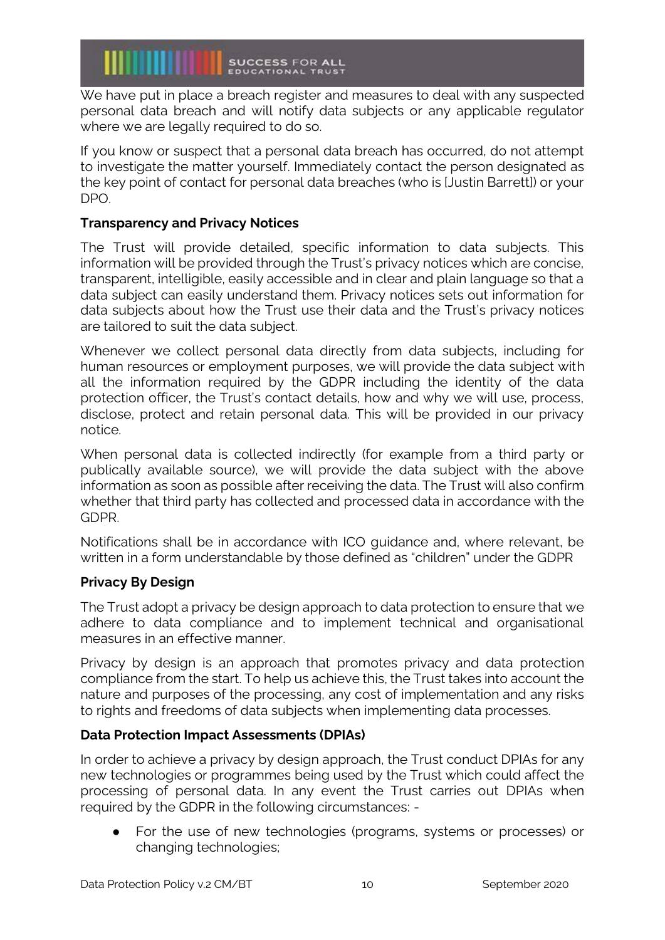We have put in place a breach register and measures to deal with any suspected personal data breach and will notify data subjects or any applicable regulator where we are legally required to do so.

If you know or suspect that a personal data breach has occurred, do not attempt to investigate the matter yourself. Immediately contact the person designated as the key point of contact for personal data breaches (who is [Justin Barrett]) or your DPO.

## **Transparency and Privacy Notices**

The Trust will provide detailed, specific information to data subjects. This information will be provided through the Trust's privacy notices which are concise, transparent, intelligible, easily accessible and in clear and plain language so that a data subject can easily understand them. Privacy notices sets out information for data subjects about how the Trust use their data and the Trust's privacy notices are tailored to suit the data subject.

Whenever we collect personal data directly from data subjects, including for human resources or employment purposes, we will provide the data subject with all the information required by the GDPR including the identity of the data protection officer, the Trust's contact details, how and why we will use, process, disclose, protect and retain personal data. This will be provided in our privacy notice.

When personal data is collected indirectly (for example from a third party or publically available source), we will provide the data subject with the above information as soon as possible after receiving the data. The Trust will also confirm whether that third party has collected and processed data in accordance with the GDPR.

Notifications shall be in accordance with ICO guidance and, where relevant, be written in a form understandable by those defined as "children" under the GDPR

## **Privacy By Design**

The Trust adopt a privacy be design approach to data protection to ensure that we adhere to data compliance and to implement technical and organisational measures in an effective manner.

Privacy by design is an approach that promotes privacy and data protection compliance from the start. To help us achieve this, the Trust takes into account the nature and purposes of the processing, any cost of implementation and any risks to rights and freedoms of data subjects when implementing data processes.

## **Data Protection Impact Assessments (DPIAs)**

In order to achieve a privacy by design approach, the Trust conduct DPIAs for any new technologies or programmes being used by the Trust which could affect the processing of personal data. In any event the Trust carries out DPIAs when required by the GDPR in the following circumstances: -

● For the use of new technologies (programs, systems or processes) or changing technologies;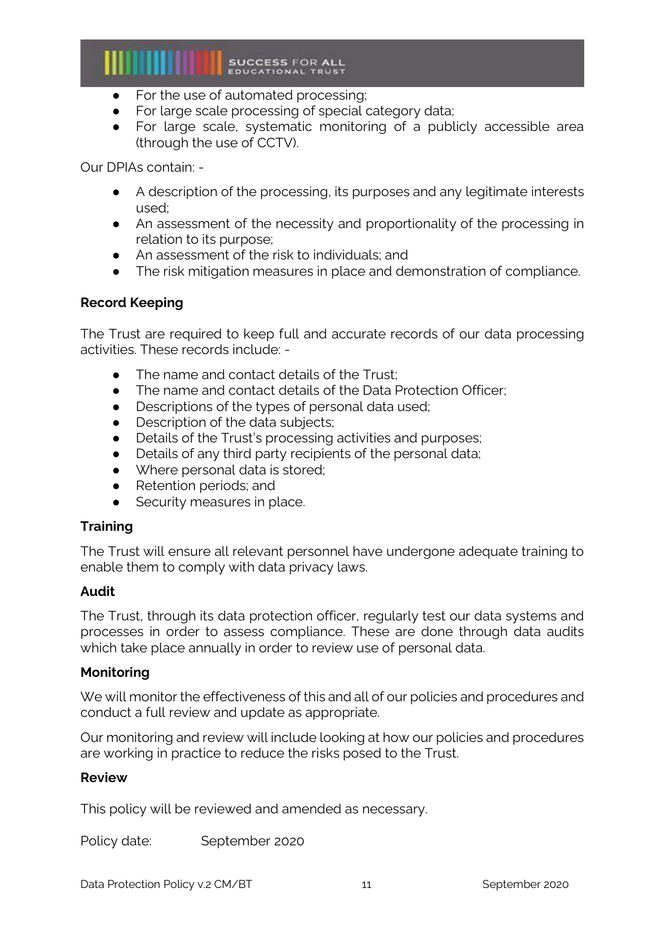

- For the use of automated processing;
- For large scale processing of special category data;
- For large scale, systematic monitoring of a publicly accessible area (through the use of CCTV).

Our DPIAs contain: -

- A description of the processing, its purposes and any legitimate interests used;
- An assessment of the necessity and proportionality of the processing in relation to its purpose;
- An assessment of the risk to individuals; and
- The risk mitigation measures in place and demonstration of compliance.

### **Record Keeping**

The Trust are required to keep full and accurate records of our data processing activities. These records include: -

- The name and contact details of the Trust;
- The name and contact details of the Data Protection Officer;
- Descriptions of the types of personal data used;
- Description of the data subjects;
- Details of the Trust's processing activities and purposes;
- Details of any third party recipients of the personal data;
- Where personal data is stored;
- Retention periods; and
- Security measures in place.

### **Training**

The Trust will ensure all relevant personnel have undergone adequate training to enable them to comply with data privacy laws.

### **Audit**

The Trust, through its data protection officer, regularly test our data systems and processes in order to assess compliance. These are done through data audits which take place annually in order to review use of personal data.

### **Monitoring**

We will monitor the effectiveness of this and all of our policies and procedures and conduct a full review and update as appropriate.

Our monitoring and review will include looking at how our policies and procedures are working in practice to reduce the risks posed to the Trust.

#### **Review**

This policy will be reviewed and amended as necessary.

Policy date: September 2020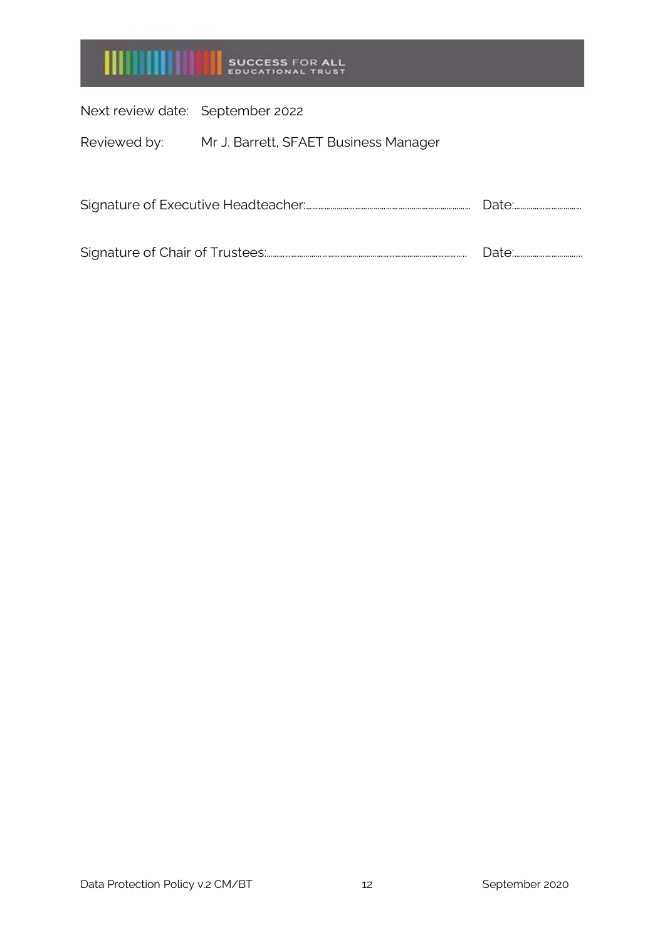

| $\sim$<br>Signature of Q<br>TUSTAAS'<br>Chair of |  |
|--------------------------------------------------|--|
|--------------------------------------------------|--|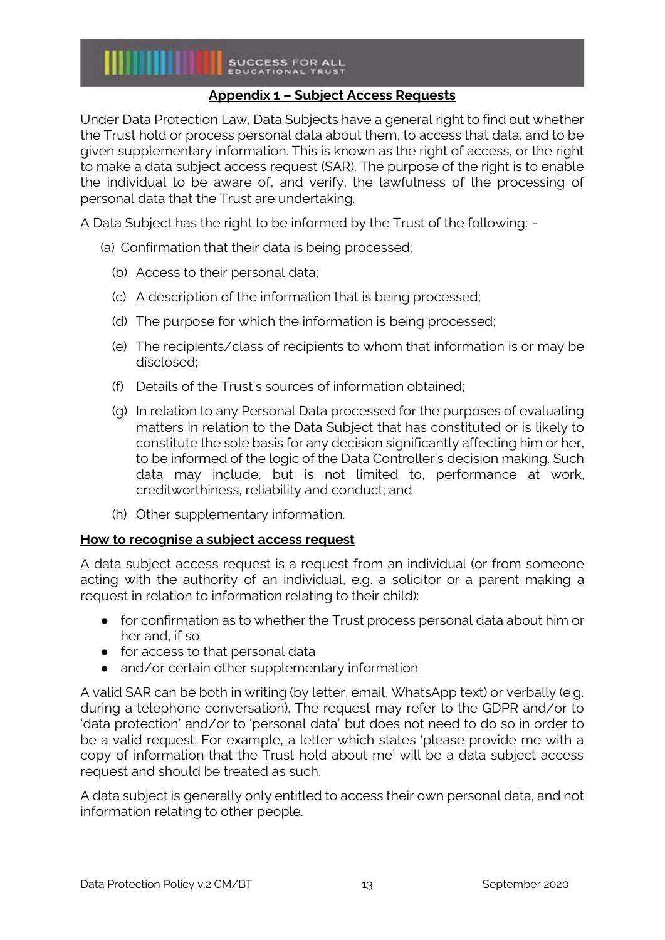

## **Appendix 1 – Subject Access Requests**

Under Data Protection Law, Data Subjects have a general right to find out whether the Trust hold or process personal data about them, to access that data, and to be given supplementary information. This is known as the right of access, or the right to make a data subject access request (SAR). The purpose of the right is to enable the individual to be aware of, and verify, the lawfulness of the processing of personal data that the Trust are undertaking.

A Data Subject has the right to be informed by the Trust of the following: -

- (a) Confirmation that their data is being processed;
	- (b) Access to their personal data;
	- (c) A description of the information that is being processed;
	- (d) The purpose for which the information is being processed;
	- (e) The recipients/class of recipients to whom that information is or may be disclosed;
	- (f) Details of the Trust's sources of information obtained;
	- (g) In relation to any Personal Data processed for the purposes of evaluating matters in relation to the Data Subject that has constituted or is likely to constitute the sole basis for any decision significantly affecting him or her, to be informed of the logic of the Data Controller's decision making. Such data may include, but is not limited to, performance at work, creditworthiness, reliability and conduct; and
	- (h) Other supplementary information.

### **How to recognise a subject access request**

A data subject access request is a request from an individual (or from someone acting with the authority of an individual, e.g. a solicitor or a parent making a request in relation to information relating to their child):

- for confirmation as to whether the Trust process personal data about him or her and, if so
- for access to that personal data
- and/or certain other supplementary information

A valid SAR can be both in writing (by letter, email, WhatsApp text) or verbally (e.g. during a telephone conversation). The request may refer to the GDPR and/or to 'data protection' and/or to 'personal data' but does not need to do so in order to be a valid request. For example, a letter which states 'please provide me with a copy of information that the Trust hold about me' will be a data subject access request and should be treated as such.

A data subject is generally only entitled to access their own personal data, and not information relating to other people.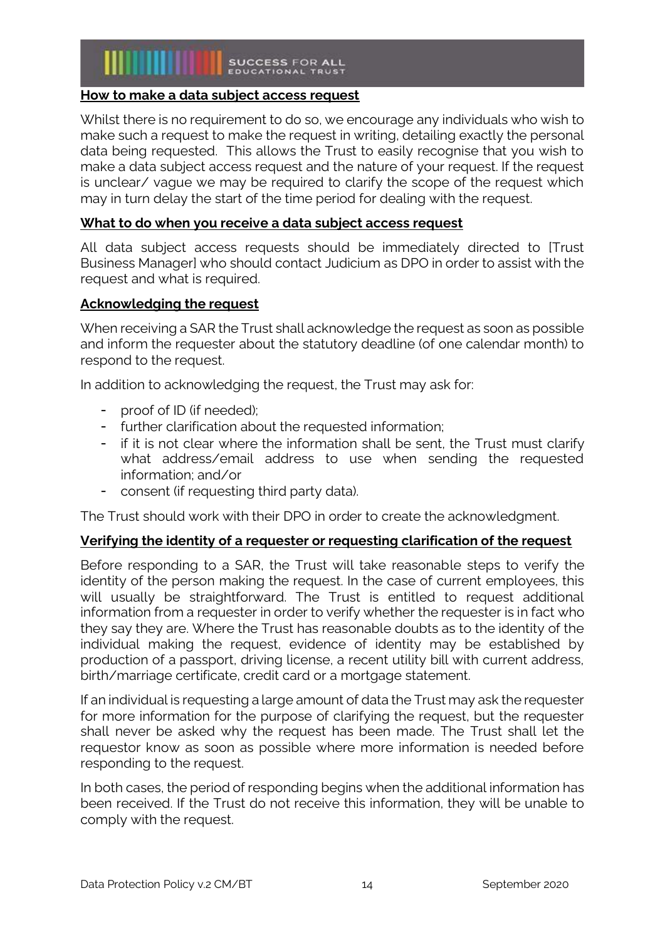

#### **How to make a data subject access request**

Whilst there is no requirement to do so, we encourage any individuals who wish to make such a request to make the request in writing, detailing exactly the personal data being requested. This allows the Trust to easily recognise that you wish to make a data subject access request and the nature of your request. If the request is unclear/ vague we may be required to clarify the scope of the request which may in turn delay the start of the time period for dealing with the request.

### **What to do when you receive a data subject access request**

All data subject access requests should be immediately directed to [Trust Business Manager] who should contact Judicium as DPO in order to assist with the request and what is required.

### **Acknowledging the request**

When receiving a SAR the Trust shall acknowledge the request as soon as possible and inform the requester about the statutory deadline (of one calendar month) to respond to the request.

In addition to acknowledging the request, the Trust may ask for:

- proof of ID (if needed);
- further clarification about the requested information;
- if it is not clear where the information shall be sent, the Trust must clarify what address/email address to use when sending the requested information; and/or
- consent (if requesting third party data).

The Trust should work with their DPO in order to create the acknowledgment.

### **Verifying the identity of a requester or requesting clarification of the request**

Before responding to a SAR, the Trust will take reasonable steps to verify the identity of the person making the request. In the case of current employees, this will usually be straightforward. The Trust is entitled to request additional information from a requester in order to verify whether the requester is in fact who they say they are. Where the Trust has reasonable doubts as to the identity of the individual making the request, evidence of identity may be established by production of a passport, driving license, a recent utility bill with current address, birth/marriage certificate, credit card or a mortgage statement.

If an individual is requesting a large amount of data the Trust may ask the requester for more information for the purpose of clarifying the request, but the requester shall never be asked why the request has been made. The Trust shall let the requestor know as soon as possible where more information is needed before responding to the request.

In both cases, the period of responding begins when the additional information has been received. If the Trust do not receive this information, they will be unable to comply with the request.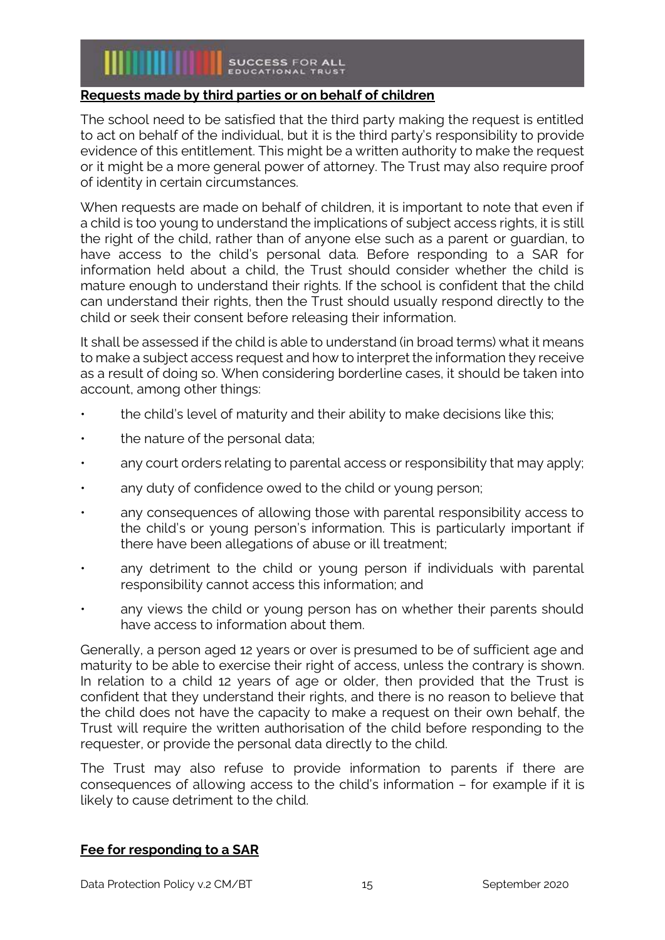

### **Requests made by third parties or on behalf of children**

The school need to be satisfied that the third party making the request is entitled to act on behalf of the individual, but it is the third party's responsibility to provide evidence of this entitlement. This might be a written authority to make the request or it might be a more general power of attorney. The Trust may also require proof of identity in certain circumstances.

When requests are made on behalf of children, it is important to note that even if a child is too young to understand the implications of subject access rights, it is still the right of the child, rather than of anyone else such as a parent or guardian, to have access to the child's personal data. Before responding to a SAR for information held about a child, the Trust should consider whether the child is mature enough to understand their rights. If the school is confident that the child can understand their rights, then the Trust should usually respond directly to the child or seek their consent before releasing their information.

It shall be assessed if the child is able to understand (in broad terms) what it means to make a subject access request and how to interpret the information they receive as a result of doing so. When considering borderline cases, it should be taken into account, among other things:

- the child's level of maturity and their ability to make decisions like this;
- the nature of the personal data;
- any court orders relating to parental access or responsibility that may apply;
- any duty of confidence owed to the child or young person;
- any consequences of allowing those with parental responsibility access to the child's or young person's information. This is particularly important if there have been allegations of abuse or ill treatment;
- any detriment to the child or young person if individuals with parental responsibility cannot access this information; and
- any views the child or young person has on whether their parents should have access to information about them.

Generally, a person aged 12 years or over is presumed to be of sufficient age and maturity to be able to exercise their right of access, unless the contrary is shown. In relation to a child 12 years of age or older, then provided that the Trust is confident that they understand their rights, and there is no reason to believe that the child does not have the capacity to make a request on their own behalf, the Trust will require the written authorisation of the child before responding to the requester, or provide the personal data directly to the child.

The Trust may also refuse to provide information to parents if there are consequences of allowing access to the child's information – for example if it is likely to cause detriment to the child.

## **Fee for responding to a SAR**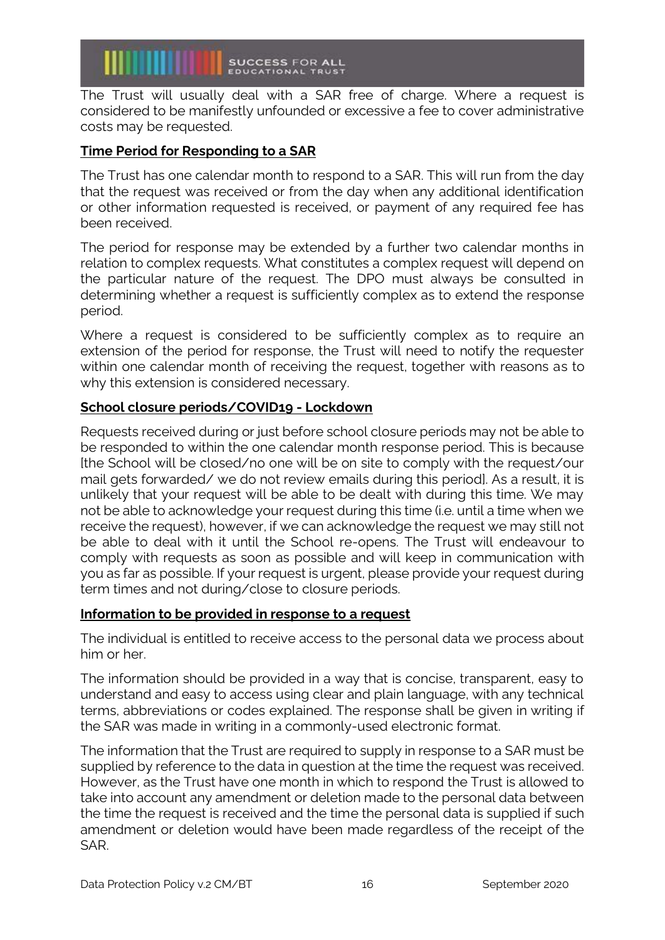

The Trust will usually deal with a SAR free of charge. Where a request is considered to be manifestly unfounded or excessive a fee to cover administrative costs may be requested.

## **Time Period for Responding to a SAR**

The Trust has one calendar month to respond to a SAR. This will run from the day that the request was received or from the day when any additional identification or other information requested is received, or payment of any required fee has been received.

The period for response may be extended by a further two calendar months in relation to complex requests. What constitutes a complex request will depend on the particular nature of the request. The DPO must always be consulted in determining whether a request is sufficiently complex as to extend the response period.

Where a request is considered to be sufficiently complex as to require an extension of the period for response, the Trust will need to notify the requester within one calendar month of receiving the request, together with reasons as to why this extension is considered necessary.

## **School closure periods/COVID19 - Lockdown**

Requests received during or just before school closure periods may not be able to be responded to within the one calendar month response period. This is because [the School will be closed/no one will be on site to comply with the request/our mail gets forwarded/ we do not review emails during this period]. As a result, it is unlikely that your request will be able to be dealt with during this time. We may not be able to acknowledge your request during this time (i.e. until a time when we receive the request), however, if we can acknowledge the request we may still not be able to deal with it until the School re-opens. The Trust will endeavour to comply with requests as soon as possible and will keep in communication with you as far as possible. If your request is urgent, please provide your request during term times and not during/close to closure periods.

## **Information to be provided in response to a request**

The individual is entitled to receive access to the personal data we process about him or her.

The information should be provided in a way that is concise, transparent, easy to understand and easy to access using clear and plain language, with any technical terms, abbreviations or codes explained. The response shall be given in writing if the SAR was made in writing in a commonly-used electronic format.

The information that the Trust are required to supply in response to a SAR must be supplied by reference to the data in question at the time the request was received. However, as the Trust have one month in which to respond the Trust is allowed to take into account any amendment or deletion made to the personal data between the time the request is received and the time the personal data is supplied if such amendment or deletion would have been made regardless of the receipt of the SAR.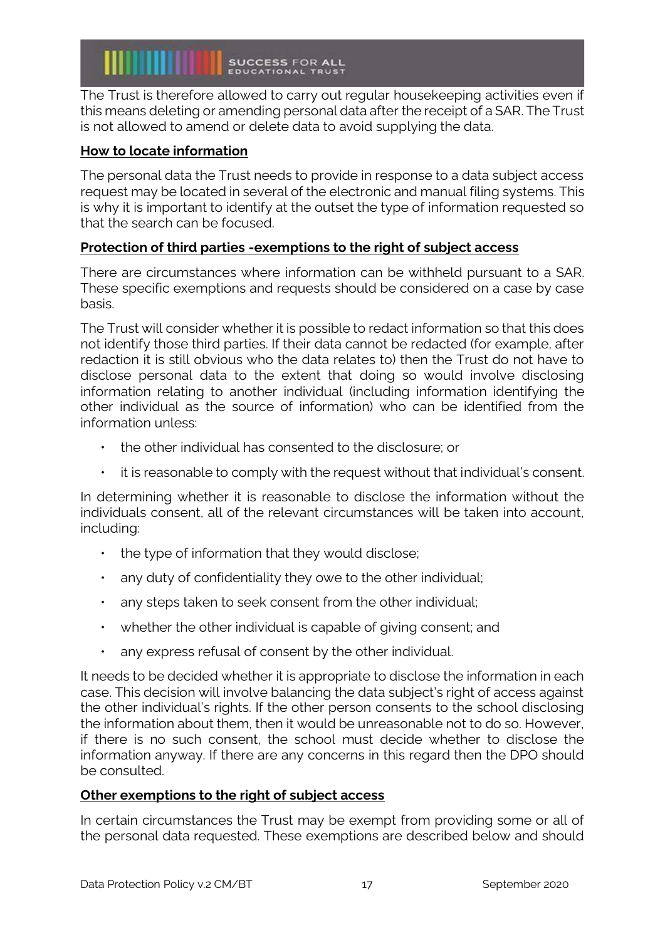

The Trust is therefore allowed to carry out regular housekeeping activities even if this means deleting or amending personal data after the receipt of a SAR. The Trust is not allowed to amend or delete data to avoid supplying the data.

### **How to locate information**

The personal data the Trust needs to provide in response to a data subject access request may be located in several of the electronic and manual filing systems. This is why it is important to identify at the outset the type of information requested so that the search can be focused.

## **Protection of third parties -exemptions to the right of subject access**

There are circumstances where information can be withheld pursuant to a SAR. These specific exemptions and requests should be considered on a case by case basis.

The Trust will consider whether it is possible to redact information so that this does not identify those third parties. If their data cannot be redacted (for example, after redaction it is still obvious who the data relates to) then the Trust do not have to disclose personal data to the extent that doing so would involve disclosing information relating to another individual (including information identifying the other individual as the source of information) who can be identified from the information unless:

- the other individual has consented to the disclosure; or
- it is reasonable to comply with the request without that individual's consent.

In determining whether it is reasonable to disclose the information without the individuals consent, all of the relevant circumstances will be taken into account, including:

- the type of information that they would disclose;
- any duty of confidentiality they owe to the other individual;
- any steps taken to seek consent from the other individual;
- whether the other individual is capable of giving consent; and
- any express refusal of consent by the other individual.

It needs to be decided whether it is appropriate to disclose the information in each case. This decision will involve balancing the data subject's right of access against the other individual's rights. If the other person consents to the school disclosing the information about them, then it would be unreasonable not to do so. However, if there is no such consent, the school must decide whether to disclose the information anyway. If there are any concerns in this regard then the DPO should be consulted.

### **Other exemptions to the right of subject access**

In certain circumstances the Trust may be exempt from providing some or all of the personal data requested. These exemptions are described below and should